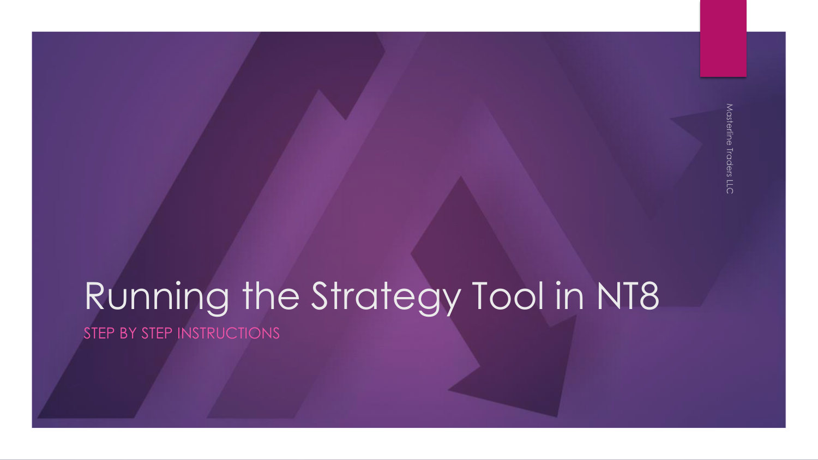## Running the Strategy Tool in NT8 STEP BY STEP INSTRUCTIONS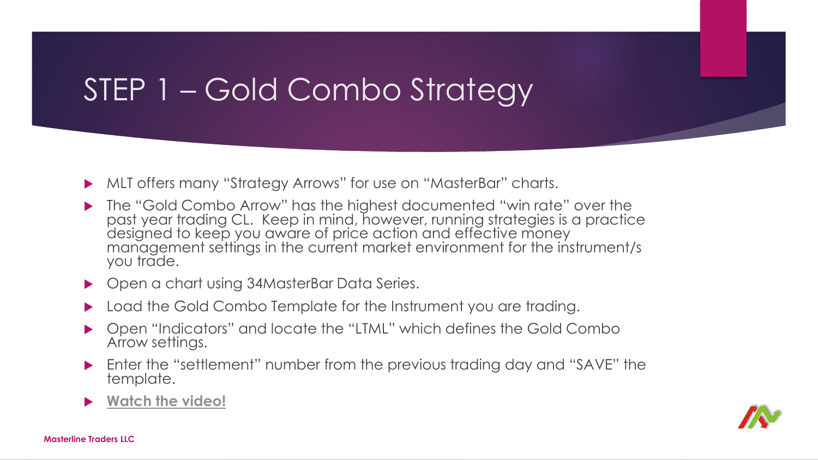# STEP 1 – Gold Combo Strategy

- MLT offers many "Strategy Arrows" for use on "MasterBar" charts.
- ▶ The "Gold Combo Arrow" has the highest documented "win rate" over the past year trading CL. Keep in mind, however, running strategies is a practice designed to keep you aware of price action and effective money management settings in the current market environment for the instrument/s you trade.
- ▶ Open a chart using 34MasterBar Data Series.
- ▶ Load the Gold Combo Template for the Instrument you are trading.
- Open "Indicators" and locate the "LTML" which defines the Gold Combo Arrow settings.
- Enter the "settlement" number from the previous trading day and "SAVE" the template.

#### **[Watch the video!](https://screencast-o-matic.com/watch/cFhlXobxGg)**

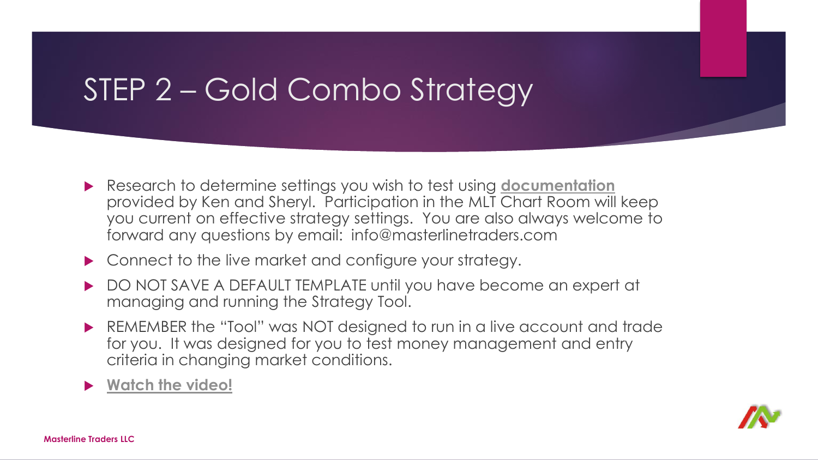# STEP 2 – Gold Combo Strategy

- Research to determine settings you wish to test using **[documentation](http://www.masterlinetraders.com/strategy-tool)** provided by Ken and Sheryl. Participation in the MLT Chart Room will keep you current on effective strategy settings. You are also always welcome to forward any questions by email: info@masterlinetraders.com
- ▶ Connect to the live market and configure your strategy.
- DO NOT SAVE A DEFAULT TEMPLATE until you have become an expert at managing and running the Strategy Tool.
- REMEMBER the "Tool" was NOT designed to run in a live account and trade for you. It was designed for you to test money management and entry criteria in changing market conditions.
- **[Watch the video!](https://screencast-o-matic.com/watch/cFhlXmbxmf)**

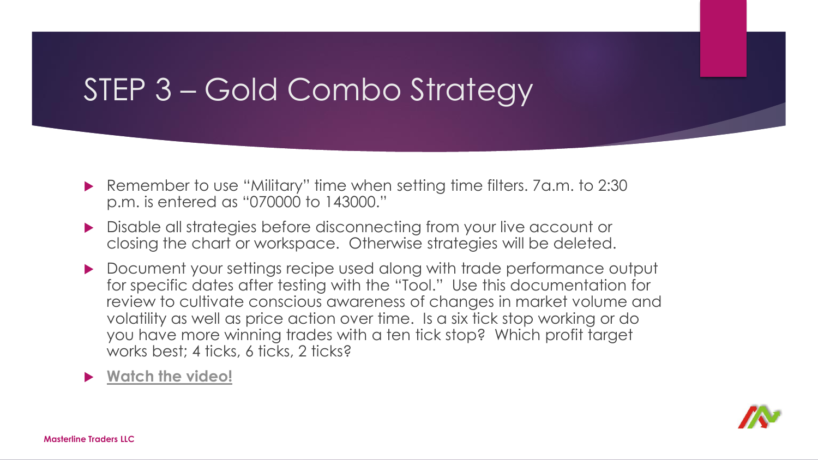# STEP 3 – Gold Combo Strategy

- ▶ Remember to use "Military" time when setting time filters. 7a.m. to 2:30 p.m. is entered as "070000 to 143000."
- **Disable all strategies before disconnecting from your live account or** closing the chart or workspace. Otherwise strategies will be deleted.
- Document your settings recipe used along with trade performance output for specific dates after testing with the "Tool." Use this documentation for review to cultivate conscious awareness of changes in market volume and volatility as well as price action over time. Is a six tick stop working or do you have more winning trades with a ten tick stop? Which profit target works best; 4 ticks, 6 ticks, 2 ticks?

### **[Watch the video!](https://screencast-o-matic.com/watch/cFhllObxmE)**